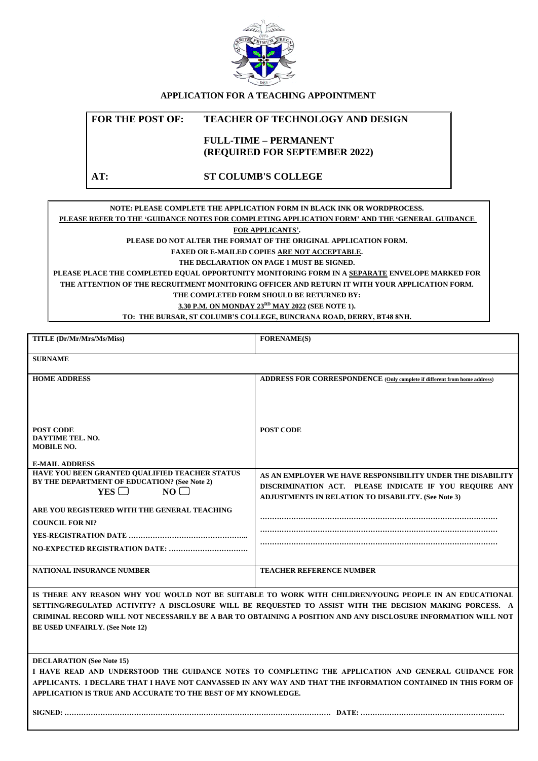

## **APPLICATION FOR A TEACHING APPOINTMENT**

### **FOR THE POST OF: TEACHER OF TECHNOLOGY AND DESIGN**

## **FULL-TIME – PERMANENT (REQUIRED FOR SEPTEMBER 2022)**

### **AT: ST COLUMB'S COLLEGE**

#### **NOTE: PLEASE COMPLETE THE APPLICATION FORM IN BLACK INK OR WORDPROCESS. PLEASE REFER TO THE 'GUIDANCE NOTES FOR COMPLETING APPLICATION FORM' AND THE 'GENERAL GUIDANCE**

**FOR APPLICANTS'.**

**PLEASE DO NOT ALTER THE FORMAT OF THE ORIGINAL APPLICATION FORM.**

**FAXED OR E-MAILED COPIES ARE NOT ACCEPTABLE.**

**THE DECLARATION ON PAGE 1 MUST BE SIGNED.**

**PLEASE PLACE THE COMPLETED EQUAL OPPORTUNITY MONITORING FORM IN A SEPARATE ENVELOPE MARKED FOR THE ATTENTION OF THE RECRUITMENT MONITORING OFFICER AND RETURN IT WITH YOUR APPLICATION FORM. THE COMPLETED FORM SHOULD BE RETURNED BY:**

**3.30 P.M. ON MONDAY 23RD MAY 2022 (SEE NOTE 1).**

**TO: THE BURSAR, ST COLUMB'S COLLEGE, BUNCRANA ROAD, DERRY, BT48 8NH.**

| TITLE (Dr/Mr/Mrs/Ms/Miss)                                                                                                                                                      | <b>FORENAME(S)</b>                                                                                                   |  |  |  |  |
|--------------------------------------------------------------------------------------------------------------------------------------------------------------------------------|----------------------------------------------------------------------------------------------------------------------|--|--|--|--|
| <b>SURNAME</b>                                                                                                                                                                 |                                                                                                                      |  |  |  |  |
| <b>HOME ADDRESS</b>                                                                                                                                                            | <b>ADDRESS FOR CORRESPONDENCE</b> (Only complete if different from home address)                                     |  |  |  |  |
| <b>POST CODE</b>                                                                                                                                                               | <b>POST CODE</b>                                                                                                     |  |  |  |  |
| <b>DAYTIME TEL. NO.</b><br><b>MOBILE NO.</b>                                                                                                                                   |                                                                                                                      |  |  |  |  |
| <b>E-MAIL ADDRESS</b>                                                                                                                                                          |                                                                                                                      |  |  |  |  |
| HAVE YOU BEEN GRANTED QUALIFIED TEACHER STATUS<br>BY THE DEPARTMENT OF EDUCATION? (See Note 2)                                                                                 | AS AN EMPLOYER WE HAVE RESPONSIBILITY UNDER THE DISABILITY                                                           |  |  |  |  |
| YES<br>NO                                                                                                                                                                      | DISCRIMINATION ACT. PLEASE INDICATE IF YOU REOUIRE ANY<br><b>ADJUSTMENTS IN RELATION TO DISABILITY. (See Note 3)</b> |  |  |  |  |
| ARE YOU REGISTERED WITH THE GENERAL TEACHING                                                                                                                                   |                                                                                                                      |  |  |  |  |
| <b>COUNCIL FOR NI?</b>                                                                                                                                                         |                                                                                                                      |  |  |  |  |
|                                                                                                                                                                                |                                                                                                                      |  |  |  |  |
|                                                                                                                                                                                |                                                                                                                      |  |  |  |  |
|                                                                                                                                                                                |                                                                                                                      |  |  |  |  |
| <b>NATIONAL INSURANCE NUMBER</b>                                                                                                                                               | <b>TEACHER REFERENCE NUMBER</b>                                                                                      |  |  |  |  |
|                                                                                                                                                                                | IS THERE ANY REASON WHY YOU WOULD NOT BE SUITABLE TO WORK WITH CHILDREN/YOUNG PEOPLE IN AN EDUCATIONAL               |  |  |  |  |
|                                                                                                                                                                                | SETTING/REGULATED ACTIVITY? A DISCLOSURE WILL BE REQUESTED TO ASSIST WITH THE DECISION MAKING PORCESS. A             |  |  |  |  |
|                                                                                                                                                                                | CRIMINAL RECORD WILL NOT NECESSARILY BE A BAR TO OBTAINING A POSITION AND ANY DISCLOSURE INFORMATION WILL NOT        |  |  |  |  |
| <b>BE USED UNFAIRLY.</b> (See Note 12)                                                                                                                                         |                                                                                                                      |  |  |  |  |
|                                                                                                                                                                                |                                                                                                                      |  |  |  |  |
| <b>DECLARATION</b> (See Note 15)                                                                                                                                               |                                                                                                                      |  |  |  |  |
|                                                                                                                                                                                | I HAVE READ AND UNDERSTOOD THE GUIDANCE NOTES TO COMPLETING THE APPLICATION AND GENERAL GUIDANCE FOR                 |  |  |  |  |
| APPLICANTS. I DECLARE THAT I HAVE NOT CANVASSED IN ANY WAY AND THAT THE INFORMATION CONTAINED IN THIS FORM OF<br>APPLICATION IS TRUE AND ACCURATE TO THE BEST OF MY KNOWLEDGE. |                                                                                                                      |  |  |  |  |
|                                                                                                                                                                                |                                                                                                                      |  |  |  |  |
|                                                                                                                                                                                |                                                                                                                      |  |  |  |  |
|                                                                                                                                                                                |                                                                                                                      |  |  |  |  |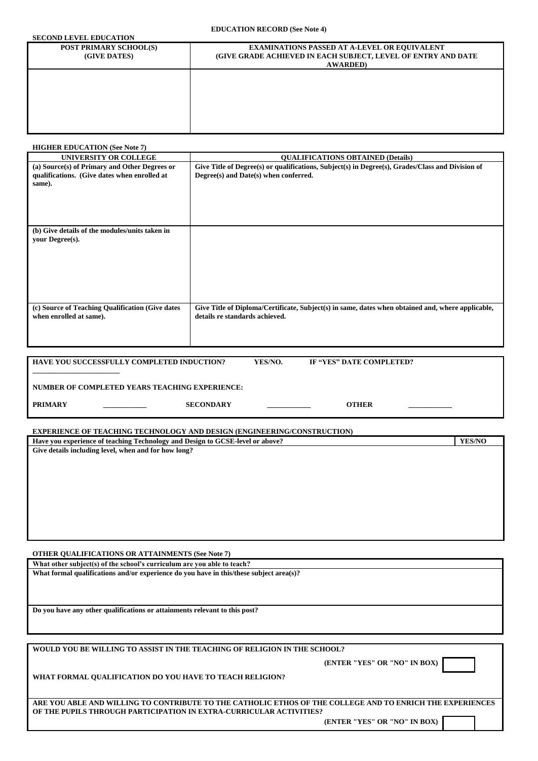**EDUCATION RECORD (See Note 4)**

## **SECOND LEVEL EDUCATION**

| SECUIVE LEVEL EDUCATION                       |                                                                                                                                                 |
|-----------------------------------------------|-------------------------------------------------------------------------------------------------------------------------------------------------|
| <b>POST PRIMARY SCHOOL(S)</b><br>(GIVE DATES) | <b>EXAMINATIONS PASSED AT A-LEVEL OR EQUIVALENT</b><br><b>(GIVE GRADE ACHIEVED IN EACH SUBJECT, LEVEL OF ENTRY AND DATE</b><br><b>AWARDED</b> ) |
|                                               |                                                                                                                                                 |
|                                               |                                                                                                                                                 |

#### **HIGHER EDUCATION (See Note 7)**

| <b>UNIVERSITY OR COLLEGE</b>                                                                            | <b>QUALIFICATIONS OBTAINED (Details)</b>                                                                                                  |
|---------------------------------------------------------------------------------------------------------|-------------------------------------------------------------------------------------------------------------------------------------------|
| (a) Source(s) of Primary and Other Degrees or<br>qualifications. (Give dates when enrolled at<br>same). | Give Title of Degree(s) or qualifications, Subject(s) in Degree(s), Grades/Class and Division of<br>Degree(s) and Date(s) when conferred. |
| (b) Give details of the modules/units taken in<br>your Degree(s).                                       |                                                                                                                                           |
| (c) Source of Teaching Qualification (Give dates<br>when enrolled at same).                             | Give Title of Diploma/Certificate, Subject(s) in same, dates when obtained and, where applicable,<br>details re standards achieved.       |

| <b>HAVE YOU SUCCESSFULLY COMPLETED INDUCTION?</b> |                  | YES/NO. | IF "YES" DATE COMPLETED? |  |
|---------------------------------------------------|------------------|---------|--------------------------|--|
|                                                   |                  |         |                          |  |
| NUMBER OF COMPLETED YEARS TEACHING EXPERIENCE:    |                  |         |                          |  |
| <b>PRIMARY</b>                                    | <b>SECONDARY</b> |         | <b>OTHER</b>             |  |

**EXPERIENCE OF TEACHING TECHNOLOGY AND DESIGN (ENGINEERING/CONSTRUCTION)**

| Have you experience of teaching Technology and Design to GCSE-level or above? |  |  |
|-------------------------------------------------------------------------------|--|--|
| Give details including level, when and for how long?                          |  |  |
|                                                                               |  |  |

**OTHER QUALIFICATIONS OR ATTAINMENTS (See Note 7)**

**What other subject(s) of the school's curriculum are you able to teach? What formal qualifications and/or experience do you have in this/these subject area(s)?**

**Do you have any other qualifications or attainments relevant to this post?**

**WOULD YOU BE WILLING TO ASSIST IN THE TEACHING OF RELIGION IN THE SCHOOL?**

**ARE YOU ABLE AND WILLING TO CONTRIBUTE TO THE CATHOLIC ETHOS OF THE COLLEGE AND TO ENRICH THE EXPERIENCES OF THE PUPILS THROUGH PARTICIPATION IN EXTRA-CURRICULAR ACTIVITIES?**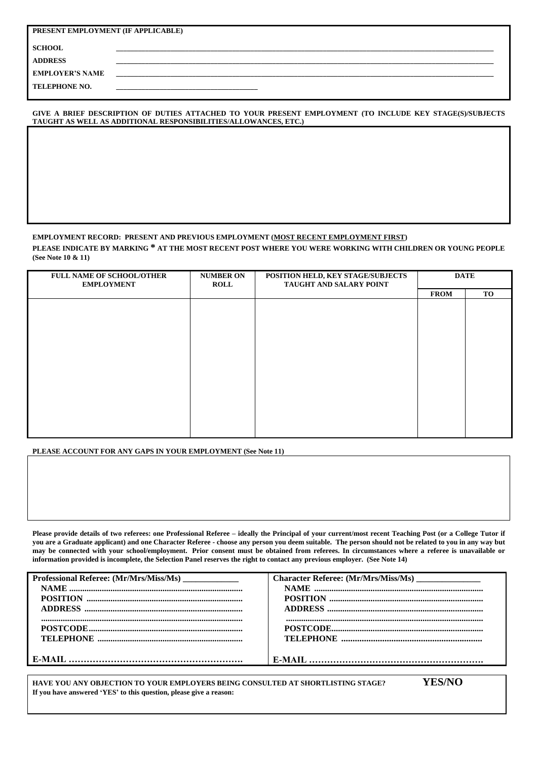| PRESENT EMPLOYMENT (IF APPLICABLE) |  |  |  |  |  |
|------------------------------------|--|--|--|--|--|
| <b>SCHOOL</b>                      |  |  |  |  |  |
| <b>ADDRESS</b>                     |  |  |  |  |  |
| <b>EMPLOYER'S NAME</b>             |  |  |  |  |  |
| <b>TELEPHONE NO.</b>               |  |  |  |  |  |

#### **GIVE A BRIEF DESCRIPTION OF DUTIES ATTACHED TO YOUR PRESENT EMPLOYMENT (TO INCLUDE KEY STAGE(S)/SUBJECTS TAUGHT AS WELL AS ADDITIONAL RESPONSIBILITIES/ALLOWANCES, ETC.)**

#### **EMPLOYMENT RECORD: PRESENT AND PREVIOUS EMPLOYMENT (MOST RECENT EMPLOYMENT FIRST)**

**PLEASE INDICATE BY MARKING \* AT THE MOST RECENT POST WHERE YOU WERE WORKING WITH CHILDREN OR YOUNG PEOPLE (See Note 10 & 11)**

| <b>FULL NAME OF SCHOOL/OTHER</b><br><b>EMPLOYMENT</b> | <b>NUMBER ON</b><br><b>ROLL</b> | <b>DATE</b> |             |           |
|-------------------------------------------------------|---------------------------------|-------------|-------------|-----------|
|                                                       |                                 |             | <b>FROM</b> | <b>TO</b> |
|                                                       |                                 |             |             |           |
|                                                       |                                 |             |             |           |
|                                                       |                                 |             |             |           |
|                                                       |                                 |             |             |           |
|                                                       |                                 |             |             |           |
|                                                       |                                 |             |             |           |
|                                                       |                                 |             |             |           |
|                                                       |                                 |             |             |           |
|                                                       |                                 |             |             |           |
|                                                       |                                 |             |             |           |
|                                                       |                                 |             |             |           |
|                                                       |                                 |             |             |           |
|                                                       |                                 |             |             |           |
|                                                       |                                 |             |             |           |

#### **PLEASE ACCOUNT FOR ANY GAPS IN YOUR EMPLOYMENT (See Note 11)**

**Please provide details of two referees: one Professional Referee – ideally the Principal of your current/most recent Teaching Post (or a College Tutor if you are a Graduate applicant) and one Character Referee - choose any person you deem suitable. The person should not be related to you in any way but may be connected with your school/employment. Prior consent must be obtained from referees. In circumstances where a referee is unavailable or information provided is incomplete, the Selection Panel reserves the right to contact any previous employer. (See Note 14)**

| Professional Referee: (Mr/Mrs/Miss/Ms) ______________ | Character Referee: (Mr/Mrs/Miss/Ms) ________________ |
|-------------------------------------------------------|------------------------------------------------------|
|                                                       |                                                      |
|                                                       |                                                      |
|                                                       |                                                      |
|                                                       |                                                      |
|                                                       |                                                      |
|                                                       |                                                      |
|                                                       |                                                      |
|                                                       |                                                      |

**HAVE YOU ANY OBJECTION TO YOUR EMPLOYERS BEING CONSULTED AT SHORTLISTING STAGE? YES/NO If you have answered 'YES' to this question, please give a reason:**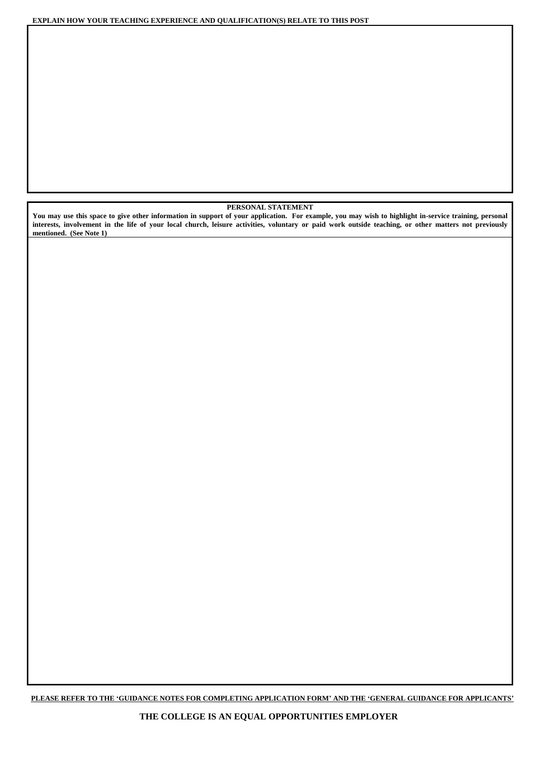**EXPLAIN HOW YOUR TEACHING EXPERIENCE AND QUALIFICATION(S) RELATE TO THIS POST**

#### **PERSONAL STATEMENT**

**You may use this space to give other information in support of your application. For example, you may wish to highlight in-service training, personal interests, involvement in the life of your local church, leisure activities, voluntary or paid work outside teaching, or other matters not previously mentioned. (See Note 1)**

**PLEASE REFER TO THE 'GUIDANCE NOTES FOR COMPLETING APPLICATION FORM' AND THE 'GENERAL GUIDANCE FOR APPLICANTS'**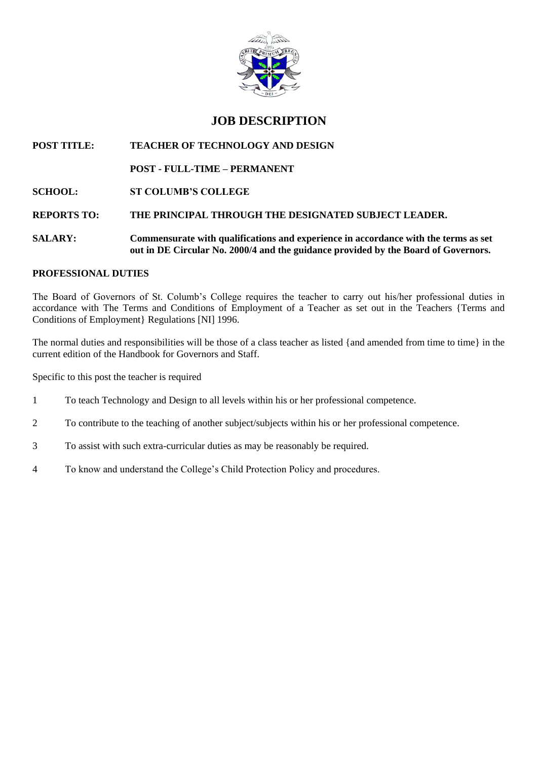

# **JOB DESCRIPTION**

## **POST TITLE: TEACHER OF TECHNOLOGY AND DESIGN**

## **POST - FULL-TIME – PERMANENT**

## **SCHOOL: ST COLUMB'S COLLEGE**

## **REPORTS TO: THE PRINCIPAL THROUGH THE DESIGNATED SUBJECT LEADER.**

## **SALARY: Commensurate with qualifications and experience in accordance with the terms as set out in DE Circular No. 2000/4 and the guidance provided by the Board of Governors.**

## **PROFESSIONAL DUTIES**

The Board of Governors of St. Columb's College requires the teacher to carry out his/her professional duties in accordance with The Terms and Conditions of Employment of a Teacher as set out in the Teachers {Terms and Conditions of Employment} Regulations [NI] 1996.

The normal duties and responsibilities will be those of a class teacher as listed {and amended from time to time} in the current edition of the Handbook for Governors and Staff.

Specific to this post the teacher is required

- 1 To teach Technology and Design to all levels within his or her professional competence.
- 2 To contribute to the teaching of another subject/subjects within his or her professional competence.
- 3 To assist with such extra-curricular duties as may be reasonably be required.
- 4 To know and understand the College's Child Protection Policy and procedures.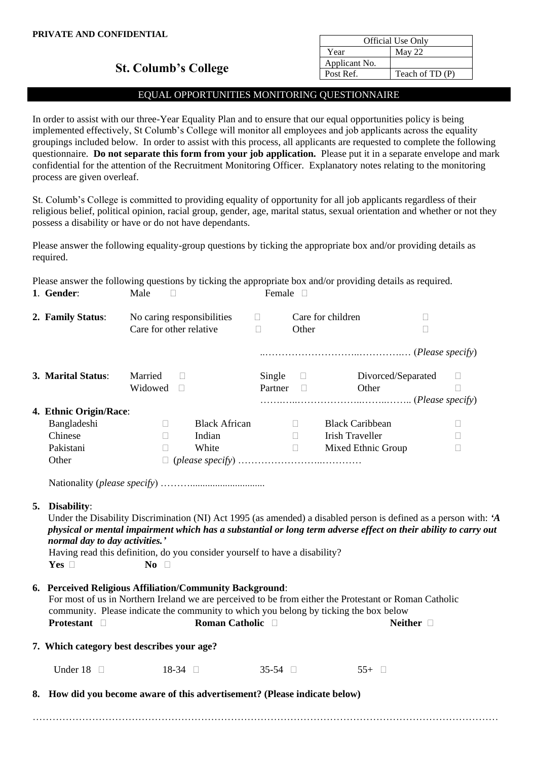| <b>Official Use Only</b> |                  |  |  |  |
|--------------------------|------------------|--|--|--|
| Year                     | May 22           |  |  |  |
| Applicant No.            |                  |  |  |  |
| Post Ref.                | Teach of $TD(P)$ |  |  |  |

## **St. Columb's College**

## EQUAL OPPORTUNITIES MONITORING QUESTIONNAIRE

In order to assist with our three-Year Equality Plan and to ensure that our equal opportunities policy is being implemented effectively, St Columb's College will monitor all employees and job applicants across the equality groupings included below. In order to assist with this process, all applicants are requested to complete the following questionnaire. **Do not separate this form from your job application.** Please put it in a separate envelope and mark confidential for the attention of the Recruitment Monitoring Officer. Explanatory notes relating to the monitoring process are given overleaf.

St. Columb's College is committed to providing equality of opportunity for all job applicants regardless of their religious belief, political opinion, racial group, gender, age, marital status, sexual orientation and whether or not they possess a disability or have or do not have dependants.

Please answer the following equality-group questions by ticking the appropriate box and/or providing details as required.

Please answer the following questions by ticking the appropriate box and/or providing details as required.

| 1. Gender:                                                                                                                     | Male<br>$\Box$            |                            | Female $\Box$    |                     |                                                                                                                                                                                                                                     |             |             |
|--------------------------------------------------------------------------------------------------------------------------------|---------------------------|----------------------------|------------------|---------------------|-------------------------------------------------------------------------------------------------------------------------------------------------------------------------------------------------------------------------------------|-------------|-------------|
| 2. Family Status:                                                                                                              | Care for other relative   | No caring responsibilities | $\Box$<br>$\Box$ | Other               | Care for children                                                                                                                                                                                                                   | $\Box$<br>П |             |
|                                                                                                                                |                           |                            |                  |                     |                                                                                                                                                                                                                                     |             |             |
| 3. Marital Status:                                                                                                             | Married<br>Widowed $\Box$ | $\Box$                     | Single           | $\Box$<br>Partner D | Divorced/Separated<br>Other                                                                                                                                                                                                         |             | $\Box$<br>П |
| 4. Ethnic Origin/Race:                                                                                                         |                           |                            |                  |                     |                                                                                                                                                                                                                                     |             |             |
| Bangladeshi                                                                                                                    | $\Box$                    | <b>Black African</b>       |                  | $\Box$              | <b>Black Caribbean</b>                                                                                                                                                                                                              |             | П           |
| Chinese                                                                                                                        | $\Box$                    | Indian                     |                  | $\Box$              | <b>Irish Traveller</b>                                                                                                                                                                                                              |             | $\Box$      |
| Pakistani                                                                                                                      | $\Box$                    | White                      |                  |                     | Mixed Ethnic Group                                                                                                                                                                                                                  |             | П           |
| Other                                                                                                                          |                           |                            |                  |                     |                                                                                                                                                                                                                                     |             |             |
| normal day to day activities.'<br>Having read this definition, do you consider yourself to have a disability?<br>Yes $\square$ | $\bf{No}$ $\Box$          |                            |                  |                     | Under the Disability Discrimination (NI) Act 1995 (as amended) a disabled person is defined as a person with: 'A<br>physical or mental impairment which has a substantial or long term adverse effect on their ability to carry out |             |             |
| 6. Perceived Religious Affiliation/Community Background:<br><b>Protestant</b> $\Box$                                           |                           | Roman Catholic <b>D</b>    |                  |                     | For most of us in Northern Ireland we are perceived to be from either the Protestant or Roman Catholic<br>community. Please indicate the community to which you belong by ticking the box below<br>Neither $\Box$                   |             |             |
| 7. Which category best describes your age?                                                                                     |                           |                            |                  |                     |                                                                                                                                                                                                                                     |             |             |
| Under 18 $\Box$                                                                                                                |                           | $18-34$                    | $35-54$ $\Box$   |                     | $55+$                                                                                                                                                                                                                               |             |             |
| 8. How did you become aware of this advertisement? (Please indicate below)                                                     |                           |                            |                  |                     |                                                                                                                                                                                                                                     |             |             |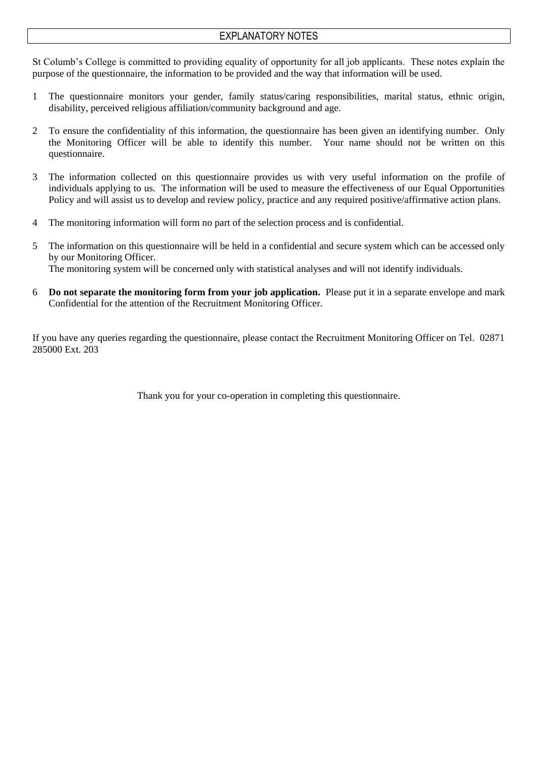## EXPLANATORY NOTES

St Columb's College is committed to providing equality of opportunity for all job applicants. These notes explain the purpose of the questionnaire, the information to be provided and the way that information will be used.

- 1 The questionnaire monitors your gender, family status/caring responsibilities, marital status, ethnic origin, disability, perceived religious affiliation/community background and age.
- 2 To ensure the confidentiality of this information, the questionnaire has been given an identifying number. Only the Monitoring Officer will be able to identify this number. Your name should not be written on this questionnaire.
- 3 The information collected on this questionnaire provides us with very useful information on the profile of individuals applying to us. The information will be used to measure the effectiveness of our Equal Opportunities Policy and will assist us to develop and review policy, practice and any required positive/affirmative action plans.
- 4 The monitoring information will form no part of the selection process and is confidential.
- 5 The information on this questionnaire will be held in a confidential and secure system which can be accessed only by our Monitoring Officer. The monitoring system will be concerned only with statistical analyses and will not identify individuals.
- 6 **Do not separate the monitoring form from your job application.** Please put it in a separate envelope and mark Confidential for the attention of the Recruitment Monitoring Officer.

If you have any queries regarding the questionnaire, please contact the Recruitment Monitoring Officer on Tel. 02871 285000 Ext. 203

Thank you for your co-operation in completing this questionnaire.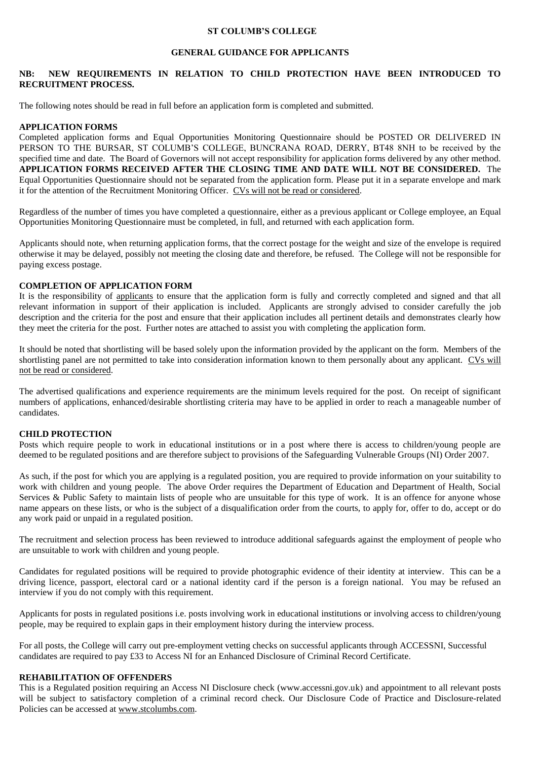#### **ST COLUMB'S COLLEGE**

### **GENERAL GUIDANCE FOR APPLICANTS**

### **NB: NEW REQUIREMENTS IN RELATION TO CHILD PROTECTION HAVE BEEN INTRODUCED TO RECRUITMENT PROCESS.**

The following notes should be read in full before an application form is completed and submitted.

### **APPLICATION FORMS**

Completed application forms and Equal Opportunities Monitoring Questionnaire should be POSTED OR DELIVERED IN PERSON TO THE BURSAR, ST COLUMB'S COLLEGE, BUNCRANA ROAD, DERRY, BT48 8NH to be received by the specified time and date. The Board of Governors will not accept responsibility for application forms delivered by any other method. **APPLICATION FORMS RECEIVED AFTER THE CLOSING TIME AND DATE WILL NOT BE CONSIDERED.** The Equal Opportunities Questionnaire should not be separated from the application form. Please put it in a separate envelope and mark it for the attention of the Recruitment Monitoring Officer. CVs will not be read or considered.

Regardless of the number of times you have completed a questionnaire, either as a previous applicant or College employee, an Equal Opportunities Monitoring Questionnaire must be completed, in full, and returned with each application form.

Applicants should note, when returning application forms, that the correct postage for the weight and size of the envelope is required otherwise it may be delayed, possibly not meeting the closing date and therefore, be refused. The College will not be responsible for paying excess postage.

### **COMPLETION OF APPLICATION FORM**

It is the responsibility of applicants to ensure that the application form is fully and correctly completed and signed and that all relevant information in support of their application is included. Applicants are strongly advised to consider carefully the job description and the criteria for the post and ensure that their application includes all pertinent details and demonstrates clearly how they meet the criteria for the post. Further notes are attached to assist you with completing the application form.

It should be noted that shortlisting will be based solely upon the information provided by the applicant on the form. Members of the shortlisting panel are not permitted to take into consideration information known to them personally about any applicant. CVs will not be read or considered.

The advertised qualifications and experience requirements are the minimum levels required for the post. On receipt of significant numbers of applications, enhanced/desirable shortlisting criteria may have to be applied in order to reach a manageable number of candidates.

### **CHILD PROTECTION**

Posts which require people to work in educational institutions or in a post where there is access to children/young people are deemed to be regulated positions and are therefore subject to provisions of the Safeguarding Vulnerable Groups (NI) Order 2007.

As such, if the post for which you are applying is a regulated position, you are required to provide information on your suitability to work with children and young people. The above Order requires the Department of Education and Department of Health, Social Services & Public Safety to maintain lists of people who are unsuitable for this type of work. It is an offence for anyone whose name appears on these lists, or who is the subject of a disqualification order from the courts, to apply for, offer to do, accept or do any work paid or unpaid in a regulated position.

The recruitment and selection process has been reviewed to introduce additional safeguards against the employment of people who are unsuitable to work with children and young people.

Candidates for regulated positions will be required to provide photographic evidence of their identity at interview. This can be a driving licence, passport, electoral card or a national identity card if the person is a foreign national. You may be refused an interview if you do not comply with this requirement.

Applicants for posts in regulated positions i.e. posts involving work in educational institutions or involving access to children/young people, may be required to explain gaps in their employment history during the interview process.

For all posts, the College will carry out pre-employment vetting checks on successful applicants through ACCESSNI, Successful candidates are required to pay £33 to Access NI for an Enhanced Disclosure of Criminal Record Certificate.

### **REHABILITATION OF OFFENDERS**

This is a Regulated position requiring an Access NI Disclosure check (www.accessni.gov.uk) and appointment to all relevant posts will be subject to satisfactory completion of a criminal record check. Our Disclosure Code of Practice and Disclosure-related Policies can be accessed at [www.stcolumbs.com.](http://www.stcolumbs.com/)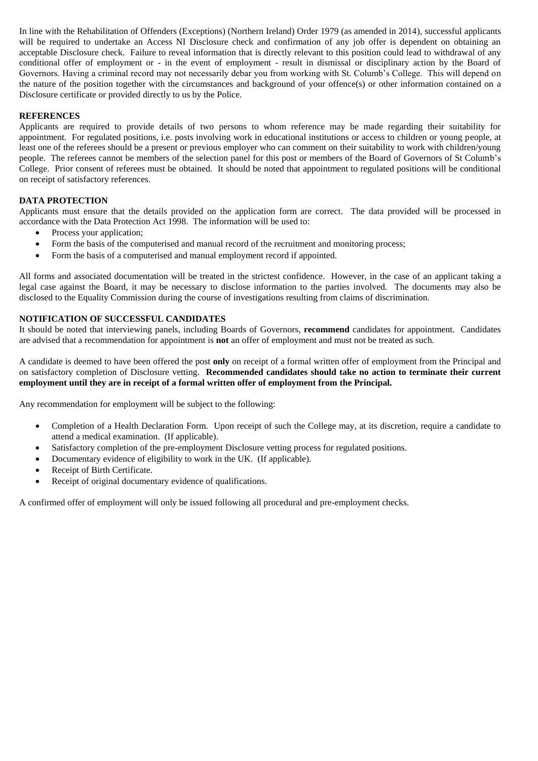In line with the Rehabilitation of Offenders (Exceptions) (Northern Ireland) Order 1979 (as amended in 2014), successful applicants will be required to undertake an Access NI Disclosure check and confirmation of any job offer is dependent on obtaining an acceptable Disclosure check. Failure to reveal information that is directly relevant to this position could lead to withdrawal of any conditional offer of employment or - in the event of employment - result in dismissal or disciplinary action by the Board of Governors. Having a criminal record may not necessarily debar you from working with St. Columb's College. This will depend on the nature of the position together with the circumstances and background of your offence(s) or other information contained on a Disclosure certificate or provided directly to us by the Police.

## **REFERENCES**

Applicants are required to provide details of two persons to whom reference may be made regarding their suitability for appointment. For regulated positions, i.e. posts involving work in educational institutions or access to children or young people, at least one of the referees should be a present or previous employer who can comment on their suitability to work with children/young people. The referees cannot be members of the selection panel for this post or members of the Board of Governors of St Columb's College. Prior consent of referees must be obtained. It should be noted that appointment to regulated positions will be conditional on receipt of satisfactory references.

### **DATA PROTECTION**

Applicants must ensure that the details provided on the application form are correct. The data provided will be processed in accordance with the Data Protection Act 1998. The information will be used to:

- Process your application;
- Form the basis of the computerised and manual record of the recruitment and monitoring process;
- Form the basis of a computerised and manual employment record if appointed.

All forms and associated documentation will be treated in the strictest confidence. However, in the case of an applicant taking a legal case against the Board, it may be necessary to disclose information to the parties involved. The documents may also be disclosed to the Equality Commission during the course of investigations resulting from claims of discrimination.

### **NOTIFICATION OF SUCCESSFUL CANDIDATES**

It should be noted that interviewing panels, including Boards of Governors, **recommend** candidates for appointment. Candidates are advised that a recommendation for appointment is **not** an offer of employment and must not be treated as such.

A candidate is deemed to have been offered the post **only** on receipt of a formal written offer of employment from the Principal and on satisfactory completion of Disclosure vetting. **Recommended candidates should take no action to terminate their current employment until they are in receipt of a formal written offer of employment from the Principal.**

Any recommendation for employment will be subject to the following:

- Completion of a Health Declaration Form. Upon receipt of such the College may, at its discretion, require a candidate to attend a medical examination. (If applicable).
- Satisfactory completion of the pre-employment Disclosure vetting process for regulated positions.
- Documentary evidence of eligibility to work in the UK. (If applicable).
- Receipt of Birth Certificate.
- Receipt of original documentary evidence of qualifications.

A confirmed offer of employment will only be issued following all procedural and pre-employment checks.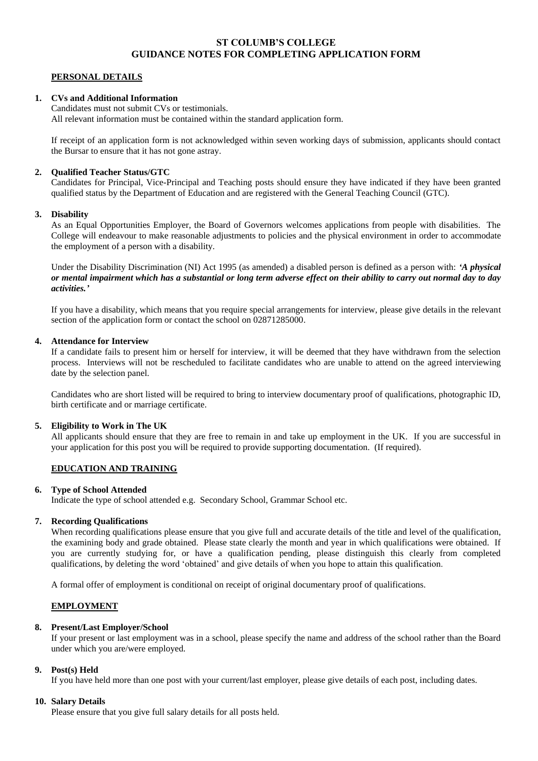## **ST COLUMB'S COLLEGE GUIDANCE NOTES FOR COMPLETING APPLICATION FORM**

#### **PERSONAL DETAILS**

#### **1. CVs and Additional Information**

Candidates must not submit CVs or testimonials. All relevant information must be contained within the standard application form.

If receipt of an application form is not acknowledged within seven working days of submission, applicants should contact the Bursar to ensure that it has not gone astray.

#### **2. Qualified Teacher Status/GTC**

Candidates for Principal, Vice-Principal and Teaching posts should ensure they have indicated if they have been granted qualified status by the Department of Education and are registered with the General Teaching Council (GTC).

#### **3. Disability**

As an Equal Opportunities Employer, the Board of Governors welcomes applications from people with disabilities. The College will endeavour to make reasonable adjustments to policies and the physical environment in order to accommodate the employment of a person with a disability.

Under the Disability Discrimination (NI) Act 1995 (as amended) a disabled person is defined as a person with: *'A physical or mental impairment which has a substantial or long term adverse effect on their ability to carry out normal day to day activities.'*

If you have a disability, which means that you require special arrangements for interview, please give details in the relevant section of the application form or contact the school on 02871285000.

#### **4. Attendance for Interview**

If a candidate fails to present him or herself for interview, it will be deemed that they have withdrawn from the selection process. Interviews will not be rescheduled to facilitate candidates who are unable to attend on the agreed interviewing date by the selection panel.

Candidates who are short listed will be required to bring to interview documentary proof of qualifications, photographic ID, birth certificate and or marriage certificate.

#### **5. Eligibility to Work in The UK**

All applicants should ensure that they are free to remain in and take up employment in the UK. If you are successful in your application for this post you will be required to provide supporting documentation. (If required).

### **EDUCATION AND TRAINING**

#### **6. Type of School Attended**

Indicate the type of school attended e.g. Secondary School, Grammar School etc.

#### **7. Recording Qualifications**

When recording qualifications please ensure that you give full and accurate details of the title and level of the qualification, the examining body and grade obtained. Please state clearly the month and year in which qualifications were obtained. If you are currently studying for, or have a qualification pending, please distinguish this clearly from completed qualifications, by deleting the word 'obtained' and give details of when you hope to attain this qualification.

A formal offer of employment is conditional on receipt of original documentary proof of qualifications.

#### **EMPLOYMENT**

### **8. Present/Last Employer/School**

If your present or last employment was in a school, please specify the name and address of the school rather than the Board under which you are/were employed.

#### **9. Post(s) Held**

If you have held more than one post with your current/last employer, please give details of each post, including dates.

#### **10. Salary Details**

Please ensure that you give full salary details for all posts held.